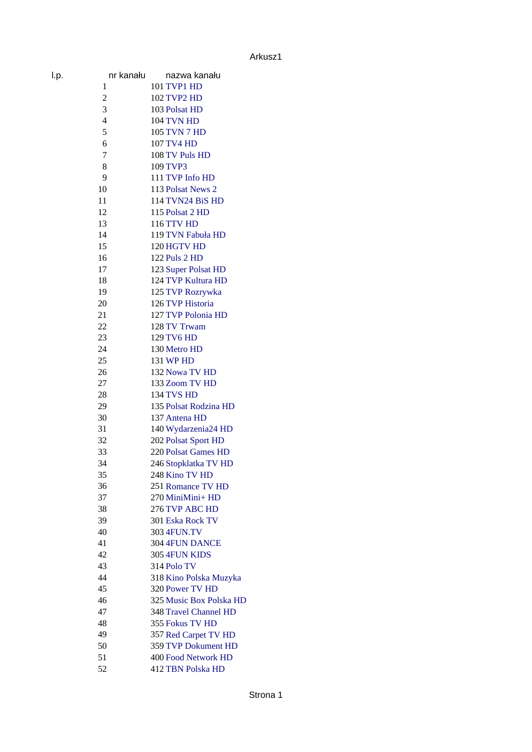| I.p. | nr kanału      | nazwa kanału                    |
|------|----------------|---------------------------------|
|      | 1              | <b>101 TVP1 HD</b>              |
|      | $\overline{2}$ | <b>102 TVP2 HD</b>              |
|      | 3              | 103 Polsat HD                   |
|      | 4              | 104 TVN HD                      |
|      | 5              | 105 TVN 7 HD                    |
|      | 6              | 107 TV4 HD                      |
|      | 7              | 108 TV Puls HD                  |
|      | 8              | 109 TVP3                        |
|      | 9              | 111 TVP Info HD                 |
|      | 10             |                                 |
|      |                | 113 Polsat News 2               |
| 11   |                | 114 TVN24 BiS HD                |
|      | 12             | 115 Polsat 2 HD                 |
|      | 13             | 116 TTV HD                      |
|      | 14             | 119 TVN Fabuła HD               |
| 15   |                | 120 HGTV HD                     |
|      | 16             | 122 Puls 2 HD                   |
|      | 17             | 123 Super Polsat HD             |
| 18   |                | 124 TVP Kultura HD              |
|      | 19             | 125 TVP Rozrywka                |
| 20   |                | 126 TVP Historia                |
| 21   |                | 127 TVP Polonia HD              |
| 22   |                | 128 TV Trwam                    |
| 23   |                | 129 TV6 HD                      |
| 24   |                | 130 Metro HD                    |
| 25   |                | 131 WP HD                       |
| 26   |                | 132 Nowa TV HD                  |
| 27   |                | 133 Zoom TV HD                  |
| 28   |                | 134 TVS HD                      |
| 29   |                | 135 Polsat Rodzina HD           |
| 30   |                | 137 Antena HD                   |
| 31   |                | 140 Wydarzenia24 HD             |
| 32   |                | 202 Polsat Sport HD             |
| 33   |                | 220 Polsat Games HD             |
| 34   |                | 246 Stopklatka TV HD            |
| 35   |                | 248 Kino TV HD                  |
|      | 36             | 251 Romance TV HD               |
| 37   |                | 270 MiniMini+ HD                |
| 38   |                | 276 TVP ABC HD                  |
| 39   |                | 301 Eska Rock TV                |
| 40   |                | 303 4FUN.TV                     |
| 41   |                |                                 |
|      |                | 304 4FUN DANCE<br>305 4FUN KIDS |
| 42   |                |                                 |
| 43   |                | 314 Polo TV                     |
| 44   |                | 318 Kino Polska Muzyka          |
| 45   |                | 320 Power TV HD                 |
| 46   |                | 325 Music Box Polska HD         |
| 47   |                | 348 Travel Channel HD           |
| 48   |                | 355 Fokus TV HD                 |
| 49   |                | 357 Red Carpet TV HD            |
| 50   |                | 359 TVP Dokument HD             |
| 51   |                | 400 Food Network HD             |
| 52   |                | 412 TBN Polska HD               |